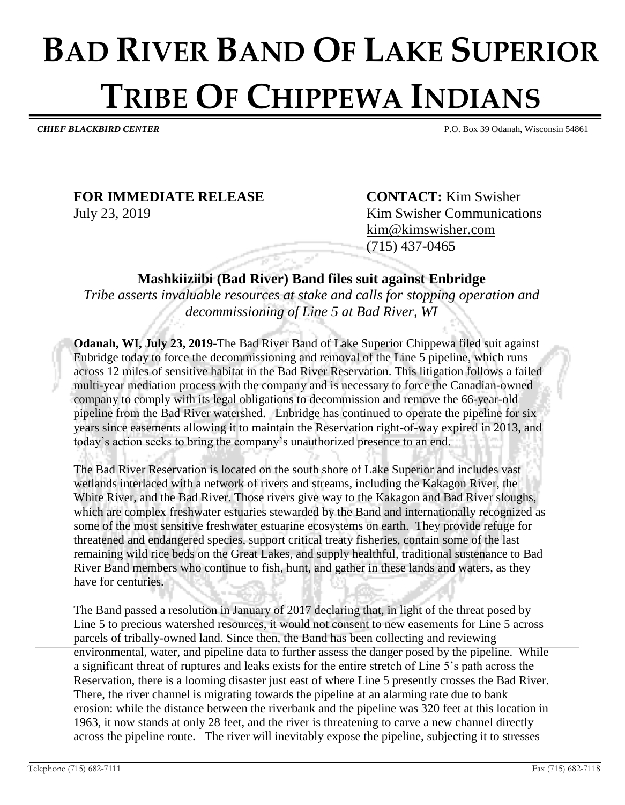## **BAD RIVER BAND OF LAKE SUPERIOR TRIBE OF CHIPPEWA INDIANS**

*CHIEF BLACKBIRD CENTER* P.O. Box 39 Odanah, Wisconsin 54861

## **FOR IMMEDIATE RELEASE CONTACT:** Kim Swisher

July 23, 2019 Kim Swisher Communications [kim@kimswisher.com](mailto:kim@kimswisher.com) (715) 437-0465

**Mashkiiziibi (Bad River) Band files suit against Enbridge**

*Tribe asserts invaluable resources at stake and calls for stopping operation and decommissioning of Line 5 at Bad River, WI*

**Odanah, WI, July 23, 2019**-The Bad River Band of Lake Superior Chippewa filed suit against Enbridge today to force the decommissioning and removal of the Line 5 pipeline, which runs across 12 miles of sensitive habitat in the Bad River Reservation. This litigation follows a failed multi-year mediation process with the company and is necessary to force the Canadian-owned company to comply with its legal obligations to decommission and remove the 66-year-old pipeline from the Bad River watershed. Enbridge has continued to operate the pipeline for six years since easements allowing it to maintain the Reservation right-of-way expired in 2013, and today's action seeks to bring the company's unauthorized presence to an end.

The Bad River Reservation is located on the south shore of Lake Superior and includes vast wetlands interlaced with a network of rivers and streams, including the Kakagon River, the White River, and the Bad River. Those rivers give way to the Kakagon and Bad River sloughs, which are complex freshwater estuaries stewarded by the Band and internationally recognized as some of the most sensitive freshwater estuarine ecosystems on earth. They provide refuge for threatened and endangered species, support critical treaty fisheries, contain some of the last remaining wild rice beds on the Great Lakes, and supply healthful, traditional sustenance to Bad River Band members who continue to fish, hunt, and gather in these lands and waters, as they have for centuries.

The Band passed a resolution in January of 2017 declaring that, in light of the threat posed by Line 5 to precious watershed resources, it would not consent to new easements for Line 5 across parcels of tribally-owned land. Since then, the Band has been collecting and reviewing environmental, water, and pipeline data to further assess the danger posed by the pipeline. While a significant threat of ruptures and leaks exists for the entire stretch of Line 5's path across the Reservation, there is a looming disaster just east of where Line 5 presently crosses the Bad River. There, the river channel is migrating towards the pipeline at an alarming rate due to bank erosion: while the distance between the riverbank and the pipeline was 320 feet at this location in 1963, it now stands at only 28 feet, and the river is threatening to carve a new channel directly across the pipeline route. The river will inevitably expose the pipeline, subjecting it to stresses